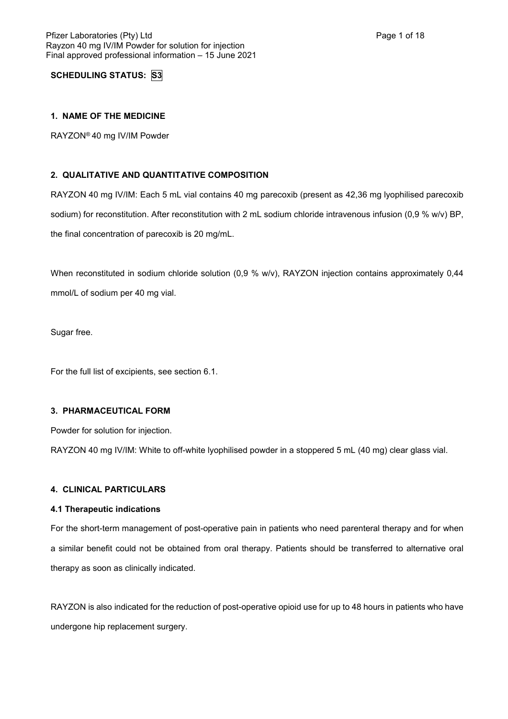**SCHEDULING STATUS: S3**

## **1. NAME OF THE MEDICINE**

RAYZON® 40 mg IV/IM Powder

## **2. QUALITATIVE AND QUANTITATIVE COMPOSITION**

RAYZON 40 mg IV/IM: Each 5 mL vial contains 40 mg parecoxib (present as 42,36 mg lyophilised parecoxib sodium) for reconstitution. After reconstitution with 2 mL sodium chloride intravenous infusion (0,9 % w/v) BP, the final concentration of parecoxib is 20 mg/mL.

When reconstituted in sodium chloride solution (0,9 % w/v), RAYZON injection contains approximately 0,44 mmol/L of sodium per 40 mg vial.

Sugar free.

For the full list of excipients, see section 6.1.

### **3. PHARMACEUTICAL FORM**

Powder for solution for injection.

RAYZON 40 mg IV/IM: White to off-white lyophilised powder in a stoppered 5 mL (40 mg) clear glass vial.

### **4. CLINICAL PARTICULARS**

### **4.1 Therapeutic indications**

For the short-term management of post-operative pain in patients who need parenteral therapy and for when a similar benefit could not be obtained from oral therapy. Patients should be transferred to alternative oral therapy as soon as clinically indicated.

RAYZON is also indicated for the reduction of post-operative opioid use for up to 48 hours in patients who have undergone hip replacement surgery.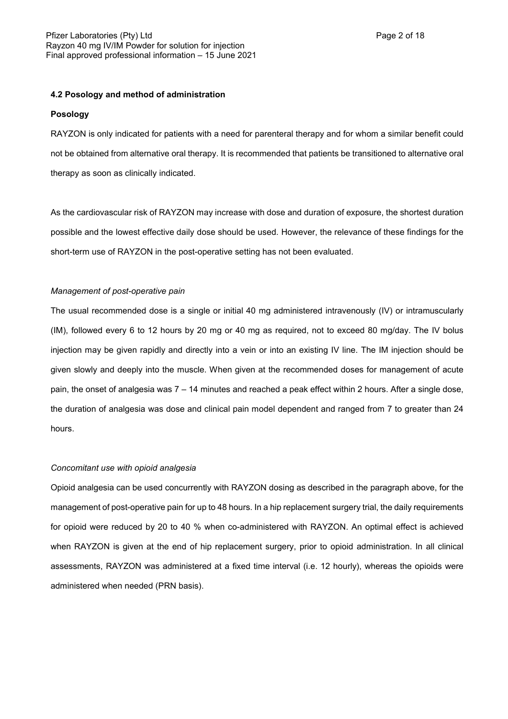## **4.2 Posology and method of administration**

### **Posology**

RAYZON is only indicated for patients with a need for parenteral therapy and for whom a similar benefit could not be obtained from alternative oral therapy. It is recommended that patients be transitioned to alternative oral therapy as soon as clinically indicated.

As the cardiovascular risk of RAYZON may increase with dose and duration of exposure, the shortest duration possible and the lowest effective daily dose should be used. However, the relevance of these findings for the short-term use of RAYZON in the post-operative setting has not been evaluated.

### *Management of post-operative pain*

The usual recommended dose is a single or initial 40 mg administered intravenously (IV) or intramuscularly (IM), followed every 6 to 12 hours by 20 mg or 40 mg as required, not to exceed 80 mg/day. The IV bolus injection may be given rapidly and directly into a vein or into an existing IV line. The IM injection should be given slowly and deeply into the muscle. When given at the recommended doses for management of acute pain, the onset of analgesia was 7 – 14 minutes and reached a peak effect within 2 hours. After a single dose, the duration of analgesia was dose and clinical pain model dependent and ranged from 7 to greater than 24 hours.

### *Concomitant use with opioid analgesia*

Opioid analgesia can be used concurrently with RAYZON dosing as described in the paragraph above, for the management of post-operative pain for up to 48 hours. In a hip replacement surgery trial, the daily requirements for opioid were reduced by 20 to 40 % when co-administered with RAYZON. An optimal effect is achieved when RAYZON is given at the end of hip replacement surgery, prior to opioid administration. In all clinical assessments, RAYZON was administered at a fixed time interval (i.e. 12 hourly), whereas the opioids were administered when needed (PRN basis).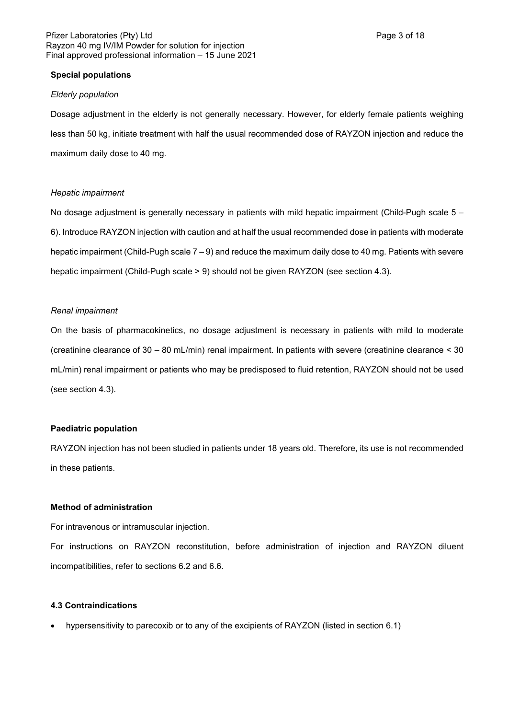### Pfizer Laboratories (Pty) Ltd **Page 3 of 18** Page 3 of 18 Rayzon 40 mg IV/IM Powder for solution for injection Final approved professional information – 15 June 2021

## **Special populations**

#### *Elderly population*

Dosage adjustment in the elderly is not generally necessary. However, for elderly female patients weighing less than 50 kg, initiate treatment with half the usual recommended dose of RAYZON injection and reduce the maximum daily dose to 40 mg.

#### *Hepatic impairment*

No dosage adjustment is generally necessary in patients with mild hepatic impairment (Child-Pugh scale 5 – 6). Introduce RAYZON injection with caution and at half the usual recommended dose in patients with moderate hepatic impairment (Child-Pugh scale 7 – 9) and reduce the maximum daily dose to 40 mg. Patients with severe hepatic impairment (Child-Pugh scale > 9) should not be given RAYZON (see section 4.3).

#### *Renal impairment*

On the basis of pharmacokinetics, no dosage adjustment is necessary in patients with mild to moderate (creatinine clearance of 30 – 80 mL/min) renal impairment. In patients with severe (creatinine clearance < 30 mL/min) renal impairment or patients who may be predisposed to fluid retention, RAYZON should not be used (see section 4.3).

### **Paediatric population**

RAYZON injection has not been studied in patients under 18 years old. Therefore, its use is not recommended in these patients.

### **Method of administration**

For intravenous or intramuscular injection.

For instructions on RAYZON reconstitution, before administration of injection and RAYZON diluent incompatibilities, refer to sections 6.2 and 6.6.

## **4.3 Contraindications**

hypersensitivity to parecoxib or to any of the excipients of RAYZON (listed in section 6.1)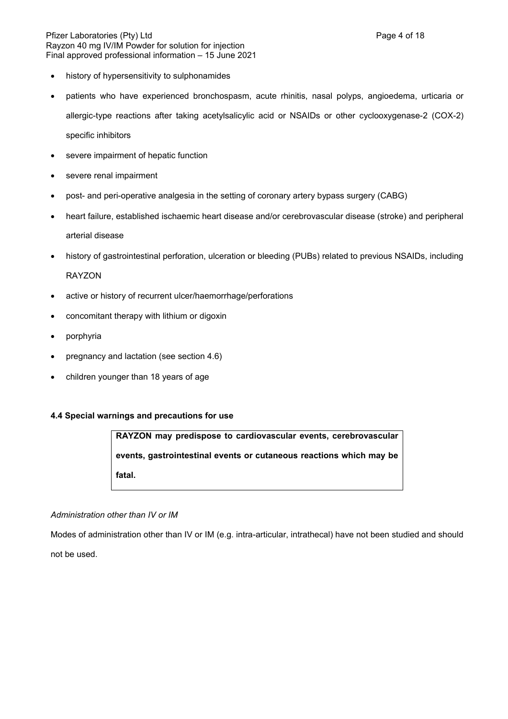### Pfizer Laboratories (Pty) Ltd **Page 4 of 18** Page 4 of 18 Rayzon 40 mg IV/IM Powder for solution for injection Final approved professional information – 15 June 2021

- history of hypersensitivity to sulphonamides
- patients who have experienced bronchospasm, acute rhinitis, nasal polyps, angioedema, urticaria or allergic-type reactions after taking acetylsalicylic acid or NSAIDs or other cyclooxygenase-2 (COX-2) specific inhibitors
- severe impairment of hepatic function
- severe renal impairment
- post- and peri-operative analgesia in the setting of coronary artery bypass surgery (CABG)
- heart failure, established ischaemic heart disease and/or cerebrovascular disease (stroke) and peripheral arterial disease
- history of gastrointestinal perforation, ulceration or bleeding (PUBs) related to previous NSAIDs, including RAYZON
- active or history of recurrent ulcer/haemorrhage/perforations
- concomitant therapy with lithium or digoxin
- porphyria
- pregnancy and lactation (see section 4.6)
- children younger than 18 years of age

## **4.4 Special warnings and precautions for use**

**RAYZON may predispose to cardiovascular events, cerebrovascular events, gastrointestinal events or cutaneous reactions which may be fatal.**

### *Administration other than IV or IM*

Modes of administration other than IV or IM (e.g. intra-articular, intrathecal) have not been studied and should not be used.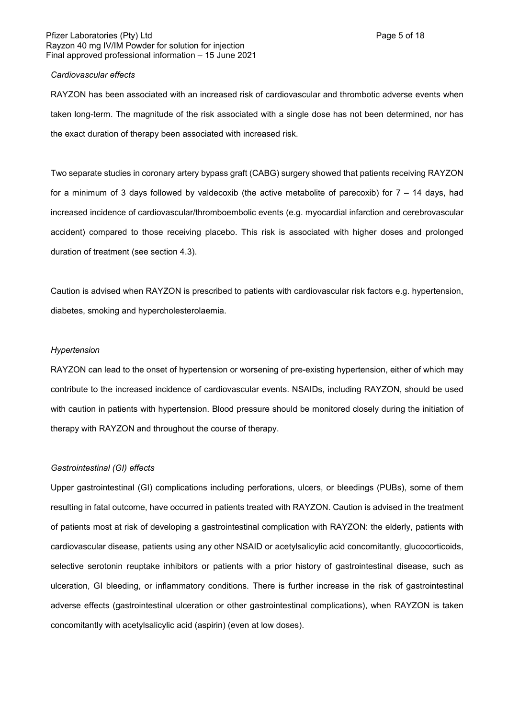## Pfizer Laboratories (Pty) Ltd **Page 5 of 18** Page 5 of 18 Rayzon 40 mg IV/IM Powder for solution for injection Final approved professional information – 15 June 2021

### *Cardiovascular effects*

RAYZON has been associated with an increased risk of cardiovascular and thrombotic adverse events when taken long-term. The magnitude of the risk associated with a single dose has not been determined, nor has the exact duration of therapy been associated with increased risk.

Two separate studies in coronary artery bypass graft (CABG) surgery showed that patients receiving RAYZON for a minimum of 3 days followed by valdecoxib (the active metabolite of parecoxib) for 7 – 14 days, had increased incidence of cardiovascular/thromboembolic events (e.g. myocardial infarction and cerebrovascular accident) compared to those receiving placebo. This risk is associated with higher doses and prolonged duration of treatment (see section 4.3).

Caution is advised when RAYZON is prescribed to patients with cardiovascular risk factors e.g. hypertension, diabetes, smoking and hypercholesterolaemia.

### *Hypertension*

RAYZON can lead to the onset of hypertension or worsening of pre-existing hypertension, either of which may contribute to the increased incidence of cardiovascular events. NSAIDs, including RAYZON, should be used with caution in patients with hypertension. Blood pressure should be monitored closely during the initiation of therapy with RAYZON and throughout the course of therapy.

#### *Gastrointestinal (GI) effects*

Upper gastrointestinal (GI) complications including perforations, ulcers, or bleedings (PUBs), some of them resulting in fatal outcome, have occurred in patients treated with RAYZON. Caution is advised in the treatment of patients most at risk of developing a gastrointestinal complication with RAYZON: the elderly, patients with cardiovascular disease, patients using any other NSAID or acetylsalicylic acid concomitantly, glucocorticoids, selective serotonin reuptake inhibitors or patients with a prior history of gastrointestinal disease, such as ulceration, GI bleeding, or inflammatory conditions. There is further increase in the risk of gastrointestinal adverse effects (gastrointestinal ulceration or other gastrointestinal complications), when RAYZON is taken concomitantly with acetylsalicylic acid (aspirin) (even at low doses).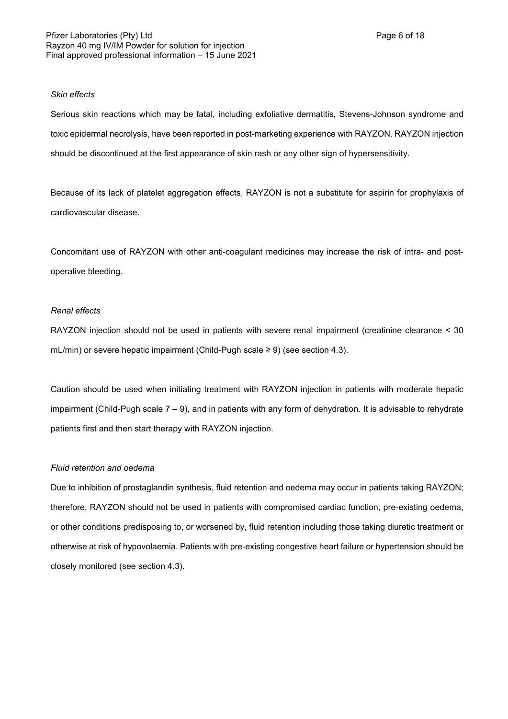### *Skin effects*

Serious skin reactions which may be fatal, including exfoliative dermatitis, Stevens-Johnson syndrome and toxic epidermal necrolysis, have been reported in post-marketing experience with RAYZON. RAYZON injection should be discontinued at the first appearance of skin rash or any other sign of hypersensitivity.

Because of its lack of platelet aggregation effects, RAYZON is not a substitute for aspirin for prophylaxis of cardiovascular disease.

Concomitant use of RAYZON with other anti-coagulant medicines may increase the risk of intra- and postoperative bleeding.

### *Renal effects*

RAYZON injection should not be used in patients with severe renal impairment (creatinine clearance < 30 mL/min) or severe hepatic impairment (Child-Pugh scale ≥ 9) (see section 4.3).

Caution should be used when initiating treatment with RAYZON injection in patients with moderate hepatic impairment (Child-Pugh scale 7 – 9), and in patients with any form of dehydration. It is advisable to rehydrate patients first and then start therapy with RAYZON injection.

## *Fluid retention and oedema*

Due to inhibition of prostaglandin synthesis, fluid retention and oedema may occur in patients taking RAYZON; therefore, RAYZON should not be used in patients with compromised cardiac function, pre-existing oedema, or other conditions predisposing to, or worsened by, fluid retention including those taking diuretic treatment or otherwise at risk of hypovolaemia. Patients with pre-existing congestive heart failure or hypertension should be closely monitored (see section 4.3).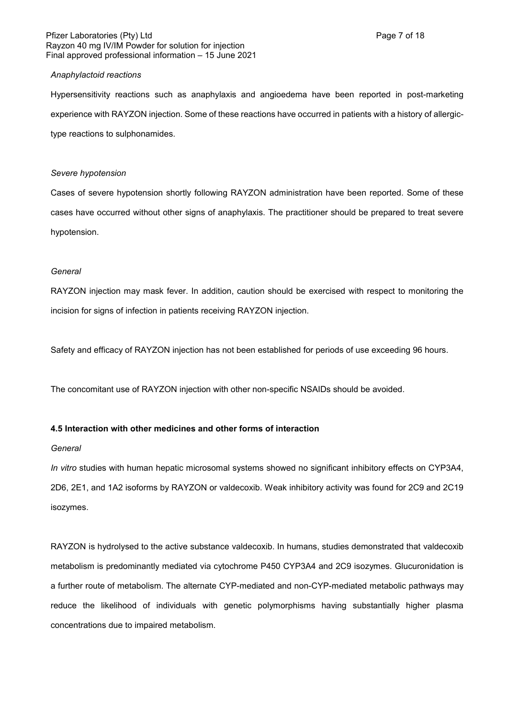### Pfizer Laboratories (Pty) Ltd **Page 7 of 18** Page 7 of 18 Rayzon 40 mg IV/IM Powder for solution for injection Final approved professional information – 15 June 2021

### *Anaphylactoid reactions*

Hypersensitivity reactions such as anaphylaxis and angioedema have been reported in post-marketing experience with RAYZON injection. Some of these reactions have occurred in patients with a history of allergictype reactions to sulphonamides.

### *Severe hypotension*

Cases of severe hypotension shortly following RAYZON administration have been reported. Some of these cases have occurred without other signs of anaphylaxis. The practitioner should be prepared to treat severe hypotension.

### *General*

RAYZON injection may mask fever. In addition, caution should be exercised with respect to monitoring the incision for signs of infection in patients receiving RAYZON injection.

Safety and efficacy of RAYZON injection has not been established for periods of use exceeding 96 hours.

The concomitant use of RAYZON injection with other non-specific NSAIDs should be avoided.

### **4.5 Interaction with other medicines and other forms of interaction**

### *General*

*In vitro* studies with human hepatic microsomal systems showed no significant inhibitory effects on CYP3A4, 2D6, 2E1, and 1A2 isoforms by RAYZON or valdecoxib. Weak inhibitory activity was found for 2C9 and 2C19 isozymes.

RAYZON is hydrolysed to the active substance valdecoxib. In humans, studies demonstrated that valdecoxib metabolism is predominantly mediated via cytochrome P450 CYP3A4 and 2C9 isozymes. Glucuronidation is a further route of metabolism. The alternate CYP-mediated and non-CYP-mediated metabolic pathways may reduce the likelihood of individuals with genetic polymorphisms having substantially higher plasma concentrations due to impaired metabolism.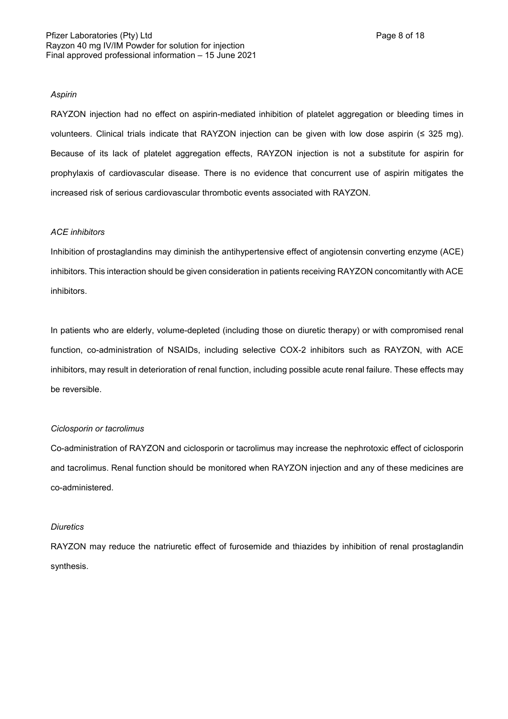#### *Aspirin*

RAYZON injection had no effect on aspirin-mediated inhibition of platelet aggregation or bleeding times in volunteers. Clinical trials indicate that RAYZON injection can be given with low dose aspirin (≤ 325 mg). Because of its lack of platelet aggregation effects, RAYZON injection is not a substitute for aspirin for prophylaxis of cardiovascular disease. There is no evidence that concurrent use of aspirin mitigates the increased risk of serious cardiovascular thrombotic events associated with RAYZON.

### *ACE inhibitors*

Inhibition of prostaglandins may diminish the antihypertensive effect of angiotensin converting enzyme (ACE) inhibitors. This interaction should be given consideration in patients receiving RAYZON concomitantly with ACE inhibitors.

In patients who are elderly, volume-depleted (including those on diuretic therapy) or with compromised renal function, co-administration of NSAIDs, including selective COX-2 inhibitors such as RAYZON, with ACE inhibitors, may result in deterioration of renal function, including possible acute renal failure. These effects may be reversible.

### *Ciclosporin or tacrolimus*

Co-administration of RAYZON and ciclosporin or tacrolimus may increase the nephrotoxic effect of ciclosporin and tacrolimus. Renal function should be monitored when RAYZON injection and any of these medicines are co-administered.

### *Diuretics*

RAYZON may reduce the natriuretic effect of furosemide and thiazides by inhibition of renal prostaglandin synthesis.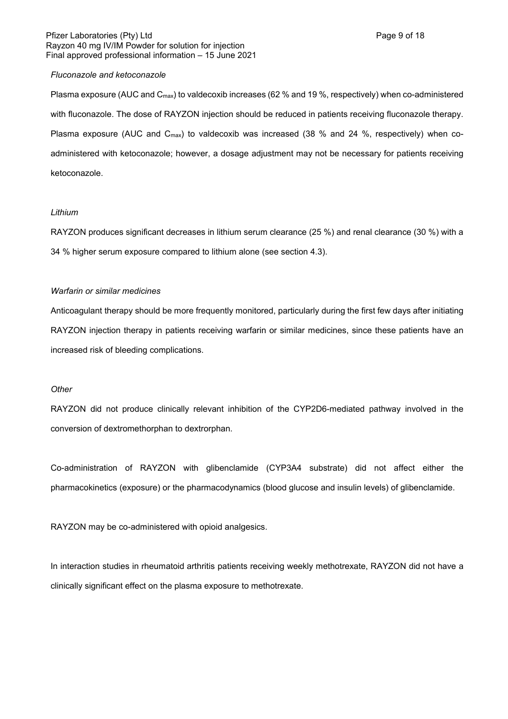### Pfizer Laboratories (Pty) Ltd **Page 9 of 18** Page 9 of 18 Rayzon 40 mg IV/IM Powder for solution for injection Final approved professional information – 15 June 2021

### *Fluconazole and ketoconazole*

Plasma exposure (AUC and C<sub>max</sub>) to valdecoxib increases (62 % and 19 %, respectively) when co-administered with fluconazole. The dose of RAYZON injection should be reduced in patients receiving fluconazole therapy. Plasma exposure (AUC and  $C_{\text{max}}$ ) to valdecoxib was increased (38 % and 24 %, respectively) when coadministered with ketoconazole; however, a dosage adjustment may not be necessary for patients receiving ketoconazole.

### *Lithium*

RAYZON produces significant decreases in lithium serum clearance (25 %) and renal clearance (30 %) with a 34 % higher serum exposure compared to lithium alone (see section 4.3).

## *Warfarin or similar medicines*

Anticoagulant therapy should be more frequently monitored, particularly during the first few days after initiating RAYZON injection therapy in patients receiving warfarin or similar medicines, since these patients have an increased risk of bleeding complications.

### *Other*

RAYZON did not produce clinically relevant inhibition of the CYP2D6-mediated pathway involved in the conversion of dextromethorphan to dextrorphan.

Co-administration of RAYZON with glibenclamide (CYP3A4 substrate) did not affect either the pharmacokinetics (exposure) or the pharmacodynamics (blood glucose and insulin levels) of glibenclamide.

RAYZON may be co-administered with opioid analgesics.

In interaction studies in rheumatoid arthritis patients receiving weekly methotrexate, RAYZON did not have a clinically significant effect on the plasma exposure to methotrexate.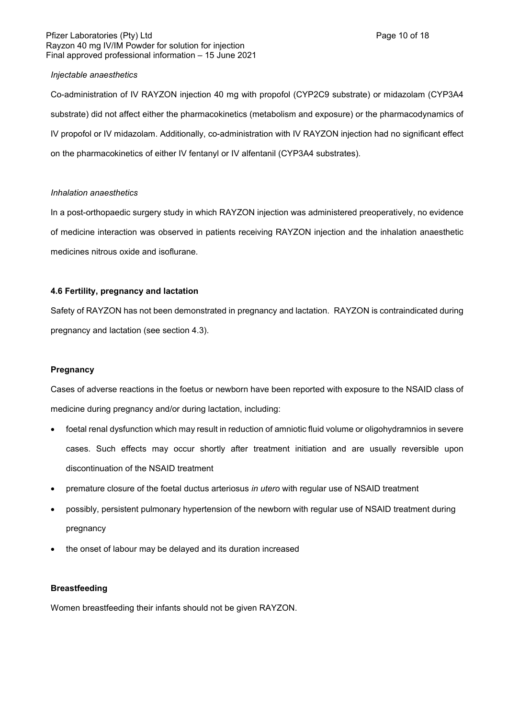### Pfizer Laboratories (Pty) Ltd **Page 10 of 18** Rayzon 40 mg IV/IM Powder for solution for injection Final approved professional information – 15 June 2021

## *Injectable anaesthetics*

Co-administration of IV RAYZON injection 40 mg with propofol (CYP2C9 substrate) or midazolam (CYP3A4 substrate) did not affect either the pharmacokinetics (metabolism and exposure) or the pharmacodynamics of IV propofol or IV midazolam. Additionally, co-administration with IV RAYZON injection had no significant effect on the pharmacokinetics of either IV fentanyl or IV alfentanil (CYP3A4 substrates).

## *Inhalation anaesthetics*

In a post-orthopaedic surgery study in which RAYZON injection was administered preoperatively, no evidence of medicine interaction was observed in patients receiving RAYZON injection and the inhalation anaesthetic medicines nitrous oxide and isoflurane.

## **4.6 Fertility, pregnancy and lactation**

Safety of RAYZON has not been demonstrated in pregnancy and lactation. RAYZON is contraindicated during pregnancy and lactation (see section 4.3).

## **Pregnancy**

Cases of adverse reactions in the foetus or newborn have been reported with exposure to the NSAID class of medicine during pregnancy and/or during lactation, including:

- foetal renal dysfunction which may result in reduction of amniotic fluid volume or oligohydramnios in severe cases. Such effects may occur shortly after treatment initiation and are usually reversible upon discontinuation of the NSAID treatment
- premature closure of the foetal ductus arteriosus *in utero* with regular use of NSAID treatment
- possibly, persistent pulmonary hypertension of the newborn with regular use of NSAID treatment during pregnancy
- the onset of labour may be delayed and its duration increased

### **Breastfeeding**

Women breastfeeding their infants should not be given RAYZON.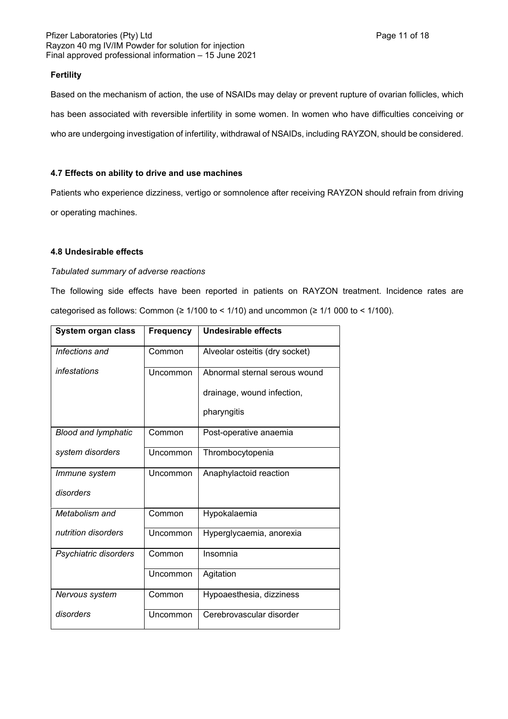### Pfizer Laboratories (Pty) Ltd **Page 11 of 18** Page 11 of 18 Rayzon 40 mg IV/IM Powder for solution for injection Final approved professional information – 15 June 2021

## **Fertility**

Based on the mechanism of action, the use of NSAIDs may delay or prevent rupture of ovarian follicles, which has been associated with reversible infertility in some women. In women who have difficulties conceiving or who are undergoing investigation of infertility, withdrawal of NSAIDs, including RAYZON, should be considered.

## **4.7 Effects on ability to drive and use machines**

Patients who experience dizziness, vertigo or somnolence after receiving RAYZON should refrain from driving or operating machines.

## **4.8 Undesirable effects**

# *Tabulated summary of adverse reactions*

The following side effects have been reported in patients on RAYZON treatment. Incidence rates are categorised as follows: Common ( $\geq 1/100$  to < 1/10) and uncommon ( $\geq 1/1000$  to < 1/100).

| System organ class         | <b>Frequency</b> | Undesirable effects            |
|----------------------------|------------------|--------------------------------|
| Infections and             | Common           | Alveolar osteitis (dry socket) |
| infestations               | Uncommon         | Abnormal sternal serous wound  |
|                            |                  | drainage, wound infection,     |
|                            |                  | pharyngitis                    |
| <b>Blood and lymphatic</b> | Common           | Post-operative anaemia         |
| system disorders           | Uncommon         | Thrombocytopenia               |
| <i>Immune</i> system       | Uncommon         | Anaphylactoid reaction         |
| disorders                  |                  |                                |
| Metabolism and             | Common           | Hypokalaemia                   |
| nutrition disorders        | Uncommon         | Hyperglycaemia, anorexia       |
| Psychiatric disorders      | Common           | Insomnia                       |
|                            | Uncommon         | Agitation                      |
| Nervous system             | Common           | Hypoaesthesia, dizziness       |
| disorders                  | Uncommon         | Cerebrovascular disorder       |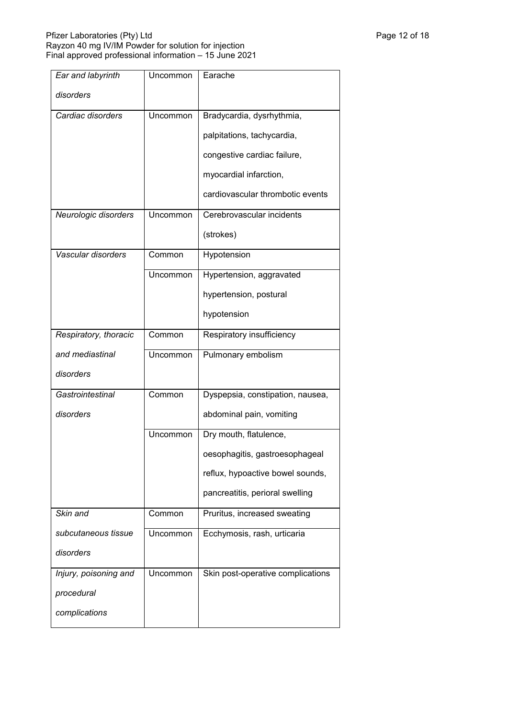### Pfizer Laboratories (Pty) Ltd Page 12 of 18 and Page 12 of 18 and Page 12 of 18 and Page 12 of 18 and Page 12 Rayzon 40 mg IV/IM Powder for solution for injection Final approved professional information – 15 June 2021

| Ear and labyrinth     | Uncommon | Earache                           |
|-----------------------|----------|-----------------------------------|
| disorders             |          |                                   |
| Cardiac disorders     | Uncommon | Bradycardia, dysrhythmia,         |
|                       |          | palpitations, tachycardia,        |
|                       |          | congestive cardiac failure,       |
|                       |          | myocardial infarction,            |
|                       |          | cardiovascular thrombotic events  |
| Neurologic disorders  | Uncommon | Cerebrovascular incidents         |
|                       |          | (strokes)                         |
| Vascular disorders    | Common   | Hypotension                       |
|                       | Uncommon | Hypertension, aggravated          |
|                       |          | hypertension, postural            |
|                       |          | hypotension                       |
| Respiratory, thoracic | Common   | Respiratory insufficiency         |
| and mediastinal       | Uncommon | Pulmonary embolism                |
| disorders             |          |                                   |
| Gastrointestinal      | Common   | Dyspepsia, constipation, nausea,  |
| disorders             |          | abdominal pain, vomiting          |
|                       | Uncommon | Dry mouth, flatulence,            |
|                       |          | oesophagitis, gastroesophageal    |
|                       |          | reflux, hypoactive bowel sounds,  |
|                       |          | pancreatitis, perioral swelling   |
| Skin and              | Common   | Pruritus, increased sweating      |
| subcutaneous tissue   | Uncommon | Ecchymosis, rash, urticaria       |
| disorders             |          |                                   |
| Injury, poisoning and | Uncommon | Skin post-operative complications |
| procedural            |          |                                   |
| complications         |          |                                   |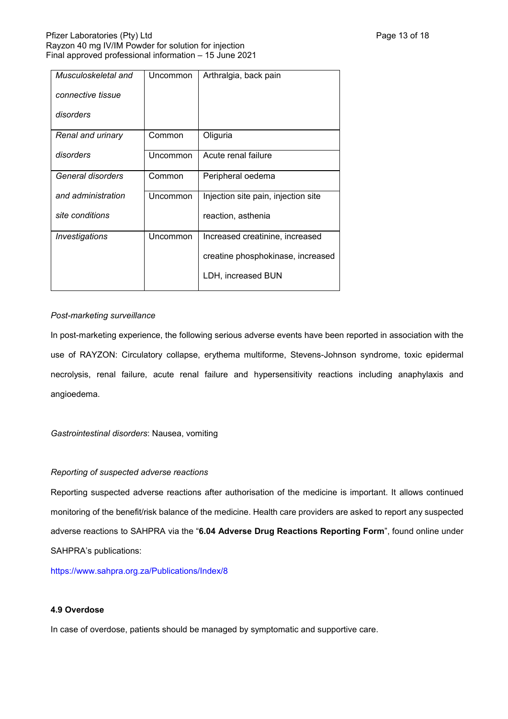| Musculoskeletal and | Uncommon | Arthralgia, back pain               |
|---------------------|----------|-------------------------------------|
| connective tissue   |          |                                     |
| disorders           |          |                                     |
| Renal and urinary   | Common   | Oliguria                            |
| disorders           | Uncommon | Acute renal failure                 |
| General disorders   | Common   | Peripheral oedema                   |
| and administration  | Uncommon | Injection site pain, injection site |
| site conditions     |          | reaction, asthenia                  |
| Investigations      | Uncommon | Increased creatinine, increased     |
|                     |          | creatine phosphokinase, increased   |
|                     |          | LDH, increased BUN                  |

## *Post-marketing surveillance*

In post-marketing experience, the following serious adverse events have been reported in association with the use of RAYZON: Circulatory collapse, erythema multiforme, Stevens-Johnson syndrome, toxic epidermal necrolysis, renal failure, acute renal failure and hypersensitivity reactions including anaphylaxis and angioedema.

*Gastrointestinal disorders*: Nausea, vomiting

### *Reporting of suspected adverse reactions*

Reporting suspected adverse reactions after authorisation of the medicine is important. It allows continued monitoring of the benefit/risk balance of the medicine. Health care providers are asked to report any suspected adverse reactions to SAHPRA via the "**6.04 Adverse Drug Reactions Reporting Form**", found online under SAHPRA's publications:

<https://www.sahpra.org.za/Publications/Index/8>

### **4.9 Overdose**

In case of overdose, patients should be managed by symptomatic and supportive care.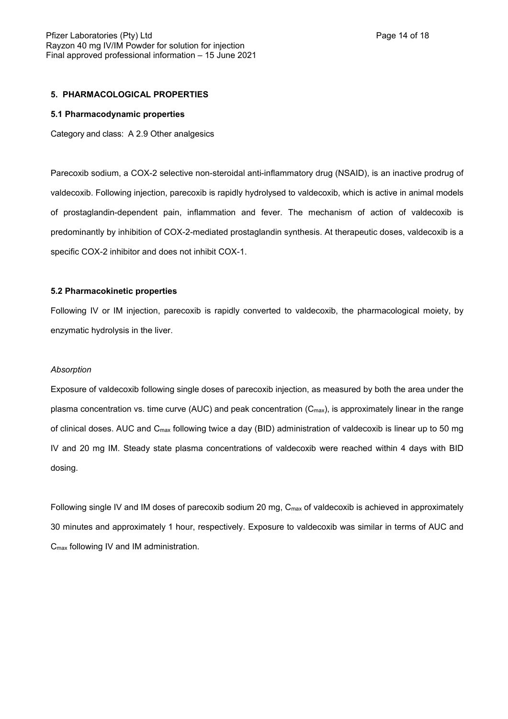### **5. PHARMACOLOGICAL PROPERTIES**

#### **5.1 Pharmacodynamic properties**

Category and class: A 2.9 Other analgesics

Parecoxib sodium, a COX-2 selective non-steroidal anti-inflammatory drug (NSAID), is an inactive prodrug of valdecoxib. Following injection, parecoxib is rapidly hydrolysed to valdecoxib, which is active in animal models of prostaglandin-dependent pain, inflammation and fever. The mechanism of action of valdecoxib is predominantly by inhibition of COX-2-mediated prostaglandin synthesis. At therapeutic doses, valdecoxib is a specific COX-2 inhibitor and does not inhibit COX-1.

#### **5.2 Pharmacokinetic properties**

Following IV or IM injection, parecoxib is rapidly converted to valdecoxib, the pharmacological moiety, by enzymatic hydrolysis in the liver.

#### *Absorption*

Exposure of valdecoxib following single doses of parecoxib injection, as measured by both the area under the plasma concentration vs. time curve (AUC) and peak concentration (C<sub>max</sub>), is approximately linear in the range of clinical doses. AUC and  $C_{\text{max}}$  following twice a day (BID) administration of valdecoxib is linear up to 50 mg IV and 20 mg IM. Steady state plasma concentrations of valdecoxib were reached within 4 days with BID dosing.

Following single IV and IM doses of parecoxib sodium 20 mg,  $C_{\text{max}}$  of valdecoxib is achieved in approximately 30 minutes and approximately 1 hour, respectively. Exposure to valdecoxib was similar in terms of AUC and Cmax following IV and IM administration.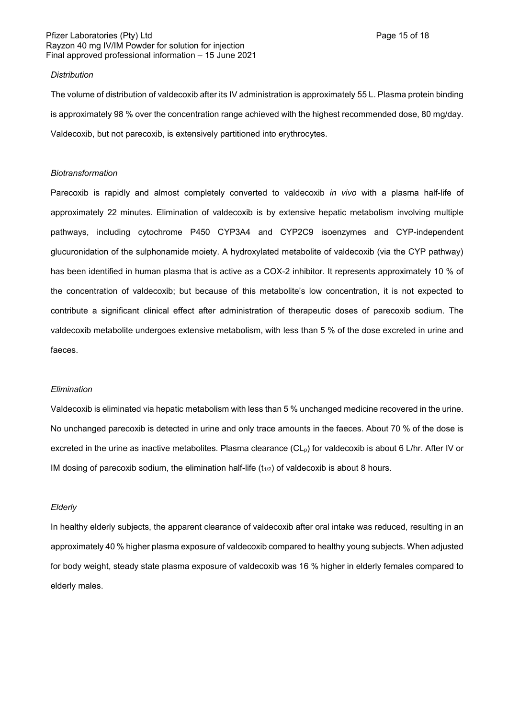### Pfizer Laboratories (Pty) Ltd **Page 15 of 18** Page 15 of 18 Rayzon 40 mg IV/IM Powder for solution for injection Final approved professional information – 15 June 2021

#### *Distribution*

The volume of distribution of valdecoxib after its IV administration is approximately 55 L. Plasma protein binding is approximately 98 % over the concentration range achieved with the highest recommended dose, 80 mg/day. Valdecoxib, but not parecoxib, is extensively partitioned into erythrocytes.

#### *Biotransformation*

Parecoxib is rapidly and almost completely converted to valdecoxib *in vivo* with a plasma half-life of approximately 22 minutes. Elimination of valdecoxib is by extensive hepatic metabolism involving multiple pathways, including cytochrome P450 CYP3A4 and CYP2C9 isoenzymes and CYP-independent glucuronidation of the sulphonamide moiety. A hydroxylated metabolite of valdecoxib (via the CYP pathway) has been identified in human plasma that is active as a COX-2 inhibitor. It represents approximately 10 % of the concentration of valdecoxib; but because of this metabolite's low concentration, it is not expected to contribute a significant clinical effect after administration of therapeutic doses of parecoxib sodium. The valdecoxib metabolite undergoes extensive metabolism, with less than 5 % of the dose excreted in urine and faeces.

### *Elimination*

Valdecoxib is eliminated via hepatic metabolism with less than 5 % unchanged medicine recovered in the urine. No unchanged parecoxib is detected in urine and only trace amounts in the faeces. About 70 % of the dose is excreted in the urine as inactive metabolites. Plasma clearance (CL<sub>p</sub>) for valdecoxib is about 6 L/hr. After IV or IM dosing of parecoxib sodium, the elimination half-life  $(t_{1/2})$  of valdecoxib is about 8 hours.

#### *Elderly*

In healthy elderly subjects, the apparent clearance of valdecoxib after oral intake was reduced, resulting in an approximately 40 % higher plasma exposure of valdecoxib compared to healthy young subjects. When adjusted for body weight, steady state plasma exposure of valdecoxib was 16 % higher in elderly females compared to elderly males.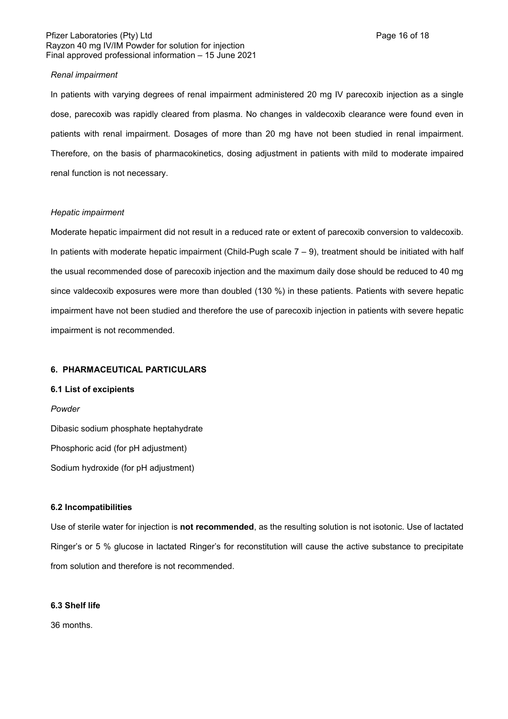### Pfizer Laboratories (Pty) Ltd **Page 16 of 18** Page 16 of 18 Rayzon 40 mg IV/IM Powder for solution for injection Final approved professional information – 15 June 2021

### *Renal impairment*

In patients with varying degrees of renal impairment administered 20 mg IV parecoxib injection as a single dose, parecoxib was rapidly cleared from plasma. No changes in valdecoxib clearance were found even in patients with renal impairment. Dosages of more than 20 mg have not been studied in renal impairment. Therefore, on the basis of pharmacokinetics, dosing adjustment in patients with mild to moderate impaired renal function is not necessary.

### *Hepatic impairment*

Moderate hepatic impairment did not result in a reduced rate or extent of parecoxib conversion to valdecoxib. In patients with moderate hepatic impairment (Child-Pugh scale  $7 - 9$ ), treatment should be initiated with half the usual recommended dose of parecoxib injection and the maximum daily dose should be reduced to 40 mg since valdecoxib exposures were more than doubled (130 %) in these patients. Patients with severe hepatic impairment have not been studied and therefore the use of parecoxib injection in patients with severe hepatic impairment is not recommended.

## **6. PHARMACEUTICAL PARTICULARS**

### **6.1 List of excipients**

### *Powder*

Dibasic sodium phosphate heptahydrate Phosphoric acid (for pH adjustment) Sodium hydroxide (for pH adjustment)

#### **6.2 Incompatibilities**

Use of sterile water for injection is **not recommended**, as the resulting solution is not isotonic. Use of lactated Ringer's or 5 % glucose in lactated Ringer's for reconstitution will cause the active substance to precipitate from solution and therefore is not recommended.

## **6.3 Shelf life**

36 months.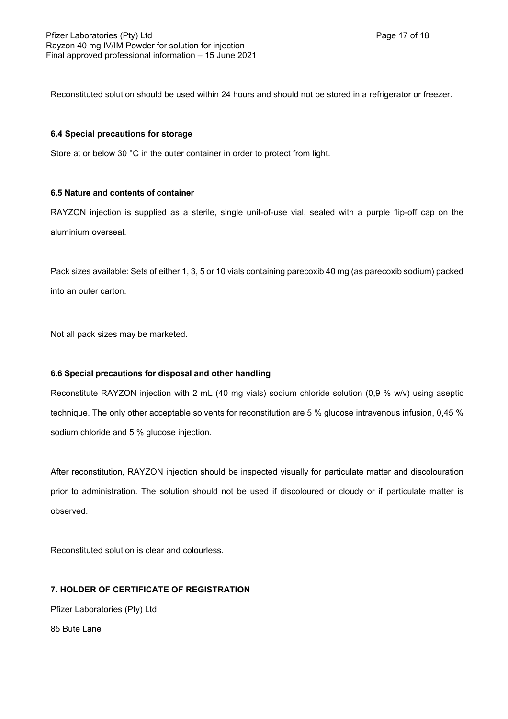Reconstituted solution should be used within 24 hours and should not be stored in a refrigerator or freezer.

## **6.4 Special precautions for storage**

Store at or below 30 °C in the outer container in order to protect from light.

## **6.5 Nature and contents of container**

RAYZON injection is supplied as a sterile, single unit-of-use vial, sealed with a purple flip-off cap on the aluminium overseal.

Pack sizes available: Sets of either 1, 3, 5 or 10 vials containing parecoxib 40 mg (as parecoxib sodium) packed into an outer carton.

Not all pack sizes may be marketed.

## **6.6 Special precautions for disposal and other handling**

Reconstitute RAYZON injection with 2 mL (40 mg vials) sodium chloride solution (0,9 % w/v) using aseptic technique. The only other acceptable solvents for reconstitution are 5 % glucose intravenous infusion, 0,45 % sodium chloride and 5 % glucose injection.

After reconstitution, RAYZON injection should be inspected visually for particulate matter and discolouration prior to administration. The solution should not be used if discoloured or cloudy or if particulate matter is observed.

Reconstituted solution is clear and colourless.

## **7. HOLDER OF CERTIFICATE OF REGISTRATION**

Pfizer Laboratories (Pty) Ltd

85 Bute Lane